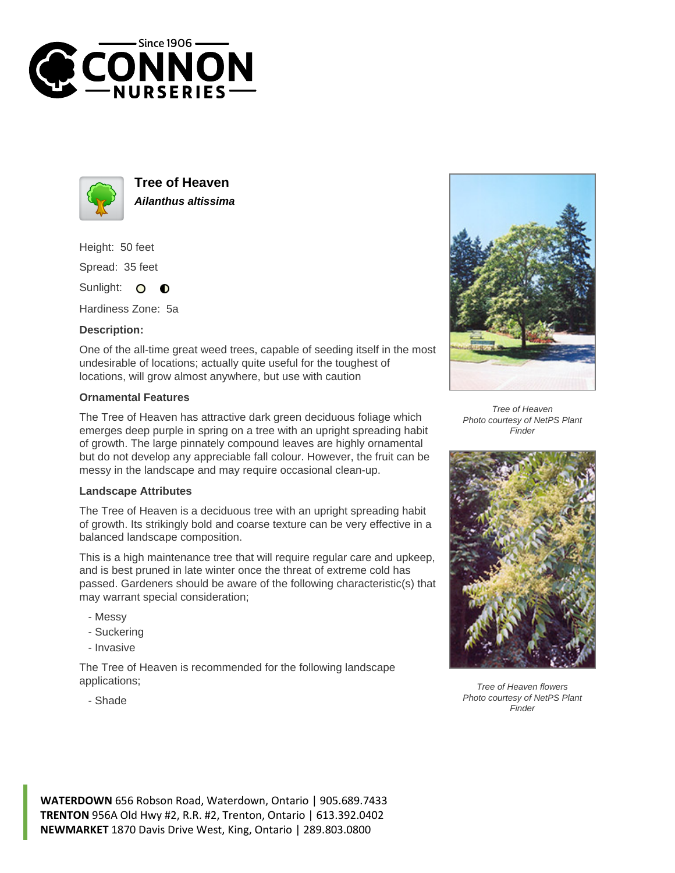



**Tree of Heaven Ailanthus altissima**

Height: 50 feet Spread: 35 feet

Sunlight: 0  $\bullet$ 

Hardiness Zone: 5a

## **Description:**

One of the all-time great weed trees, capable of seeding itself in the most undesirable of locations; actually quite useful for the toughest of locations, will grow almost anywhere, but use with caution

## **Ornamental Features**

The Tree of Heaven has attractive dark green deciduous foliage which emerges deep purple in spring on a tree with an upright spreading habit of growth. The large pinnately compound leaves are highly ornamental but do not develop any appreciable fall colour. However, the fruit can be messy in the landscape and may require occasional clean-up.

## **Landscape Attributes**

The Tree of Heaven is a deciduous tree with an upright spreading habit of growth. Its strikingly bold and coarse texture can be very effective in a balanced landscape composition.

This is a high maintenance tree that will require regular care and upkeep, and is best pruned in late winter once the threat of extreme cold has passed. Gardeners should be aware of the following characteristic(s) that may warrant special consideration;

- Messy
- Suckering
- Invasive

The Tree of Heaven is recommended for the following landscape applications;



Tree of Heaven Photo courtesy of NetPS Plant Finder



Tree of Heaven flowers Photo courtesy of NetPS Plant Finder

- Shade

**WATERDOWN** 656 Robson Road, Waterdown, Ontario | 905.689.7433 **TRENTON** 956A Old Hwy #2, R.R. #2, Trenton, Ontario | 613.392.0402 **NEWMARKET** 1870 Davis Drive West, King, Ontario | 289.803.0800